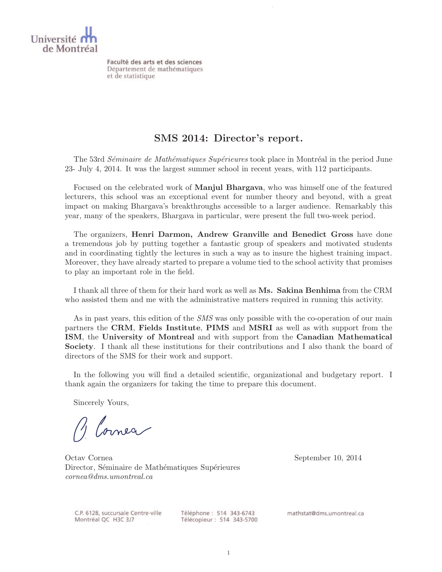

Faculté des arts et des sciences Département de mathématiques et de statistique

#### SMS 2014: Director's report.

The 53rd *Séminaire de Mathématiques Supérieures* took place in Montréal in the period June 23- July 4, 2014. It was the largest summer school in recent years, with 112 participants.

Focused on the celebrated work of Manjul Bhargava, who was himself one of the featured lecturers, this school was an exceptional event for number theory and beyond, with a great impact on making Bhargava's breakthroughs accessible to a larger audience. Remarkably this year, many of the speakers, Bhargava in particular, were present the full two-week period.

The organizers, Henri Darmon, Andrew Granville and Benedict Gross have done a tremendous job by putting together a fantastic group of speakers and motivated students and in coordinating tightly the lectures in such a way as to insure the highest training impact. Moreover, they have already started to prepare a volume tied to the school activity that promises to play an important role in the field.

I thank all three of them for their hard work as well as Ms. Sakina Benhima from the CRM who assisted them and me with the administrative matters required in running this activity.

As in past years, this edition of the *SMS* was only possible with the co-operation of our main partners the CRM, Fields Institute, PIMS and MSRI as well as with support from the ISM, the University of Montreal and with support from the Canadian Mathematical Society. I thank all these institutions for their contributions and I also thank the board of directors of the SMS for their work and support.

In the following you will find a detailed scientific, organizational and budgetary report. I thank again the organizers for taking the time to prepare this document.

Sincerely Yours,

Blomea

Octav Cornea September 10, 2014 Director, Séminaire de Mathématiques Supérieures cornea@dms.umontreal.ca

C.P. 6128, succursale Centre-ville Montréal QC H3C 3J7

Téléphone: 514 343-6743 Télécopieur : 514 343-5700 mathstat@dms.umontreal.ca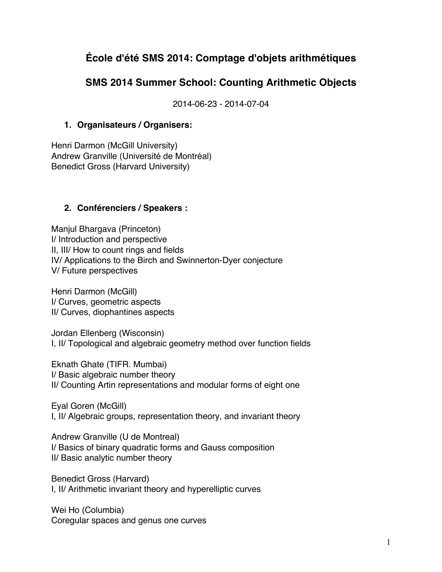# **École d'été SMS 2014: Comptage d'objets arithmétiques**

## **SMS 2014 Summer School: Counting Arithmetic Objects**

2014-06-23 - 2014-07-04

#### **1. Organisateurs / Organisers:**

Henri Darmon (McGill University) Andrew Granville (Université de Montréal) Benedict Gross (Harvard University)

#### **2. Conférenciers / Speakers :**

Manjul Bhargava (Princeton) I/ Introduction and perspective II, III/ How to count rings and fields IV/ Applications to the Birch and Swinnerton-Dyer conjecture V/ Future perspectives

Henri Darmon (McGill) I/ Curves, geometric aspects II/ Curves, diophantines aspects

Jordan Ellenberg (Wisconsin) I, II/ Topological and algebraic geometry method over function fields

Eknath Ghate (TIFR. Mumbai) I/ Basic algebraic number theory II/ Counting Artin representations and modular forms of eight one

Eyal Goren (McGill) I, II/ Algebraic groups, representation theory, and invariant theory

Andrew Granville (U de Montreal) I/ Basics of binary quadratic forms and Gauss composition II/ Basic analytic number theory

Benedict Gross (Harvard) I, II/ Arithmetic invariant theory and hyperelliptic curves

Wei Ho (Columbia) Coregular spaces and genus one curves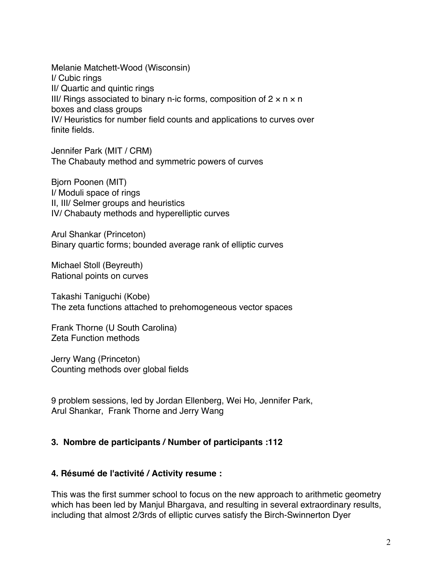Melanie Matchett-Wood (Wisconsin) I/ Cubic rings II/ Quartic and quintic rings III/ Rings associated to binary n-ic forms, composition of  $2 \times n \times n$ boxes and class groups IV/ Heuristics for number field counts and applications to curves over finite fields.

Jennifer Park (MIT / CRM) The Chabauty method and symmetric powers of curves

Bjorn Poonen (MIT) I/ Moduli space of rings II, III/ Selmer groups and heuristics IV/ Chabauty methods and hyperelliptic curves

Arul Shankar (Princeton) Binary quartic forms; bounded average rank of elliptic curves

Michael Stoll (Beyreuth) Rational points on curves

Takashi Taniguchi (Kobe) The zeta functions attached to prehomogeneous vector spaces

Frank Thorne (U South Carolina) Zeta Function methods

Jerry Wang (Princeton) Counting methods over global fields

9 problem sessions, led by Jordan Ellenberg, Wei Ho, Jennifer Park, Arul Shankar, Frank Thorne and Jerry Wang

#### **3. Nombre de participants / Number of participants :112**

#### **4. Résumé de l'activité / Activity resume :**

This was the first summer school to focus on the new approach to arithmetic geometry which has been led by Manjul Bhargava, and resulting in several extraordinary results, including that almost 2/3rds of elliptic curves satisfy the Birch-Swinnerton Dyer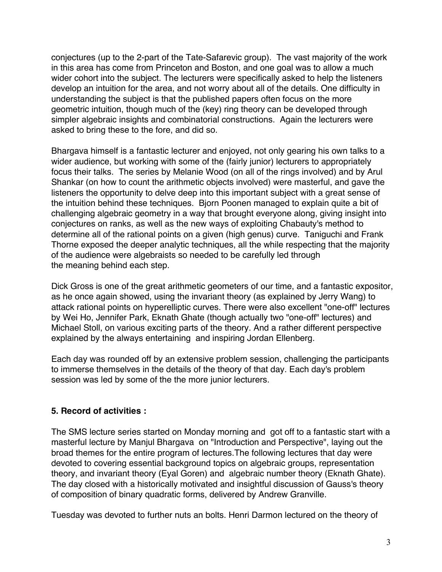conjectures (up to the 2-part of the Tate-Safarevic group). The vast majority of the work in this area has come from Princeton and Boston, and one goal was to allow a much wider cohort into the subject. The lecturers were specifically asked to help the listeners develop an intuition for the area, and not worry about all of the details. One difficulty in understanding the subject is that the published papers often focus on the more geometric intuition, though much of the (key) ring theory can be developed through simpler algebraic insights and combinatorial constructions. Again the lecturers were asked to bring these to the fore, and did so.

Bhargava himself is a fantastic lecturer and enjoyed, not only gearing his own talks to a wider audience, but working with some of the (fairly junior) lecturers to appropriately focus their talks. The series by Melanie Wood (on all of the rings involved) and by Arul Shankar (on how to count the arithmetic objects involved) were masterful, and gave the listeners the opportunity to delve deep into this important subject with a great sense of the intuition behind these techniques. Bjorn Poonen managed to explain quite a bit of challenging algebraic geometry in a way that brought everyone along, giving insight into conjectures on ranks, as well as the new ways of exploiting Chabauty's method to determine all of the rational points on a given (high genus) curve. Taniguchi and Frank Thorne exposed the deeper analytic techniques, all the while respecting that the majority of the audience were algebraists so needed to be carefully led through the meaning behind each step.

Dick Gross is one of the great arithmetic geometers of our time, and a fantastic expositor, as he once again showed, using the invariant theory (as explained by Jerry Wang) to attack rational points on hyperelliptic curves. There were also excellent "one-off" lectures by Wei Ho, Jennifer Park, Eknath Ghate (though actually two "one-off" lectures) and Michael Stoll, on various exciting parts of the theory. And a rather different perspective explained by the always entertaining and inspiring Jordan Ellenberg.

Each day was rounded off by an extensive problem session, challenging the participants to immerse themselves in the details of the theory of that day. Each day's problem session was led by some of the the more junior lecturers.

#### **5. Record of activities :**

The SMS lecture series started on Monday morning and got off to a fantastic start with a masterful lecture by Manjul Bhargava on "Introduction and Perspective", laying out the broad themes for the entire program of lectures.The following lectures that day were devoted to covering essential background topics on algebraic groups, representation theory, and invariant theory (Eyal Goren) and algebraic number theory (Eknath Ghate). The day closed with a historically motivated and insightful discussion of Gauss's theory of composition of binary quadratic forms, delivered by Andrew Granville.

Tuesday was devoted to further nuts an bolts. Henri Darmon lectured on the theory of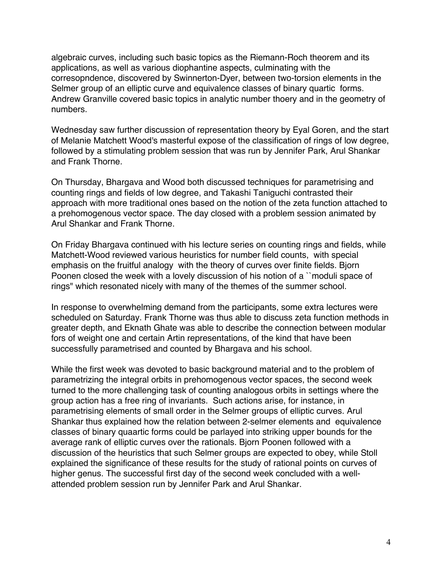algebraic curves, including such basic topics as the Riemann-Roch theorem and its applications, as well as various diophantine aspects, culminating with the corresopndence, discovered by Swinnerton-Dyer, between two-torsion elements in the Selmer group of an elliptic curve and equivalence classes of binary quartic forms. Andrew Granville covered basic topics in analytic number thoery and in the geometry of numbers.

Wednesday saw further discussion of representation theory by Eyal Goren, and the start of Melanie Matchett Wood's masterful expose of the classification of rings of low degree, followed by a stimulating problem session that was run by Jennifer Park, Arul Shankar and Frank Thorne.

On Thursday, Bhargava and Wood both discussed techniques for parametrising and counting rings and fields of low degree, and Takashi Taniguchi contrasted their approach with more traditional ones based on the notion of the zeta function attached to a prehomogenous vector space. The day closed with a problem session animated by Arul Shankar and Frank Thorne.

On Friday Bhargava continued with his lecture series on counting rings and fields, while Matchett-Wood reviewed various heuristics for number field counts, with special emphasis on the fruitful analogy with the theory of curves over finite fields. Bjorn Poonen closed the week with a lovely discussion of his notion of a ``moduli space of rings" which resonated nicely with many of the themes of the summer school.

In response to overwhelming demand from the participants, some extra lectures were scheduled on Saturday. Frank Thorne was thus able to discuss zeta function methods in greater depth, and Eknath Ghate was able to describe the connection between modular fors of weight one and certain Artin representations, of the kind that have been successfully parametrised and counted by Bhargava and his school.

While the first week was devoted to basic background material and to the problem of parametrizing the integral orbits in prehomogenous vector spaces, the second week turned to the more challenging task of counting analogous orbits in settings where the group action has a free ring of invariants. Such actions arise, for instance, in parametrising elements of small order in the Selmer groups of elliptic curves. Arul Shankar thus explained how the relation between 2-selmer elements and equivalence classes of binary quaartic forms could be parlayed into striking upper bounds for the average rank of elliptic curves over the rationals. Bjorn Poonen followed with a discussion of the heuristics that such Selmer groups are expected to obey, while Stoll explained the significance of these results for the study of rational points on curves of higher genus. The successful first day of the second week concluded with a wellattended problem session run by Jennifer Park and Arul Shankar.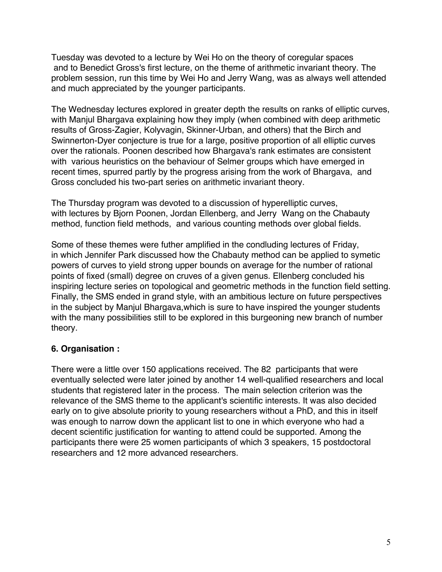Tuesday was devoted to a lecture by Wei Ho on the theory of coregular spaces and to Benedict Gross's first lecture, on the theme of arithmetic invariant theory. The problem session, run this time by Wei Ho and Jerry Wang, was as always well attended and much appreciated by the younger participants.

The Wednesday lectures explored in greater depth the results on ranks of elliptic curves, with Manjul Bhargava explaining how they imply (when combined with deep arithmetic results of Gross-Zagier, Kolyvagin, Skinner-Urban, and others) that the Birch and Swinnerton-Dyer conjecture is true for a large, positive proportion of all elliptic curves over the rationals. Poonen described how Bhargava's rank estimates are consistent with various heuristics on the behaviour of Selmer groups which have emerged in recent times, spurred partly by the progress arising from the work of Bhargava, and Gross concluded his two-part series on arithmetic invariant theory.

The Thursday program was devoted to a discussion of hyperelliptic curves, with lectures by Bjorn Poonen, Jordan Ellenberg, and Jerry Wang on the Chabauty method, function field methods, and various counting methods over global fields.

Some of these themes were futher amplified in the condluding lectures of Friday, in which Jennifer Park discussed how the Chabauty method can be applied to symetic powers of curves to yield strong upper bounds on average for the number of rational points of fixed (small) degree on cruves of a given genus. Ellenberg concluded his inspiring lecture series on topological and geometric methods in the function field setting. Finally, the SMS ended in grand style, with an ambitious lecture on future perspectives in the subject by Manjul Bhargava,which is sure to have inspired the younger students with the many possibilities still to be explored in this burgeoning new branch of number theory.

#### **6. Organisation :**

There were a little over 150 applications received. The 82 participants that were eventually selected were later joined by another 14 well-qualified researchers and local students that registered later in the process. The main selection criterion was the relevance of the SMS theme to the applicant's scientific interests. It was also decided early on to give absolute priority to young researchers without a PhD, and this in itself was enough to narrow down the applicant list to one in which everyone who had a decent scientific justification for wanting to attend could be supported. Among the participants there were 25 women participants of which 3 speakers, 15 postdoctoral researchers and 12 more advanced researchers.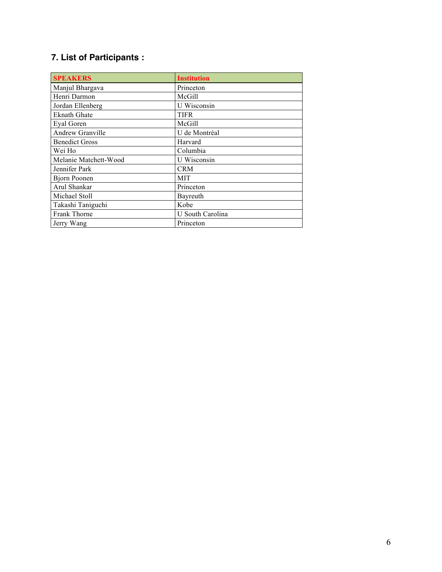# **7. List of Participants :**

| <b>SPEAKERS</b>       | <b>Institution</b> |
|-----------------------|--------------------|
| Manjul Bhargava       | Princeton          |
| Henri Darmon          | McGill             |
| Jordan Ellenberg      | U Wisconsin        |
| <b>Eknath Ghate</b>   | TIFR               |
| Eyal Goren            | McGill             |
| Andrew Granville      | U de Montréal      |
| <b>Benedict Gross</b> | Harvard            |
| Wei Ho                | Columbia           |
| Melanie Matchett-Wood | U Wisconsin        |
| Jennifer Park         | <b>CRM</b>         |
| <b>Bjorn Poonen</b>   | <b>MIT</b>         |
| Arul Shankar          | Princeton          |
| Michael Stoll         | Bayreuth           |
| Takashi Taniguchi     | Kobe               |
| Frank Thorne          | U South Carolina   |
| Jerry Wang            | Princeton          |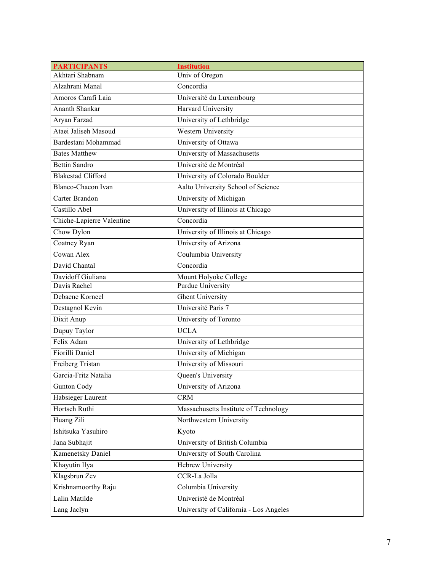| <b>PARTICIPANTS</b>       | <b>Institution</b>                     |
|---------------------------|----------------------------------------|
| Akhtari Shabnam           | Univ of Oregon                         |
| Alzahrani Manal           | Concordia                              |
| Amoros Carafi Laia        | Université du Luxembourg               |
| Ananth Shankar            | <b>Harvard University</b>              |
| Aryan Farzad              | University of Lethbridge               |
| Ataei Jaliseh Masoud      | Western University                     |
| Bardestani Mohammad       | University of Ottawa                   |
| <b>Bates Matthew</b>      | University of Massachusetts            |
| <b>Bettin Sandro</b>      | Université de Montréal                 |
| <b>Blakestad Clifford</b> | University of Colorado Boulder         |
| Blanco-Chacon Ivan        | Aalto University School of Science     |
| Carter Brandon            | University of Michigan                 |
| Castillo Abel             | University of Illinois at Chicago      |
| Chiche-Lapierre Valentine | Concordia                              |
| Chow Dylon                | University of Illinois at Chicago      |
| Coatney Ryan              | University of Arizona                  |
| Cowan Alex                | Coulumbia University                   |
| David Chantal             | Concordia                              |
| Davidoff Giuliana         | Mount Holyoke College                  |
| Davis Rachel              | <b>Purdue University</b>               |
| Debaene Korneel           | <b>Ghent University</b>                |
| Destagnol Kevin           | Université Paris 7                     |
| Dixit Anup                | University of Toronto                  |
| Dupuy Taylor              | <b>UCLA</b>                            |
| Felix Adam                | University of Lethbridge               |
| Fiorilli Daniel           | University of Michigan                 |
| Freiberg Tristan          | University of Missouri                 |
| Garcia-Fritz Natalia      | Queen's University                     |
| Gunton Cody               | University of Arizona                  |
| Habsieger Laurent         | <b>CRM</b>                             |
| Hortsch Ruthi             | Massachusetts Institute of Technology  |
| Huang Zili                | Northwestern University                |
| Ishitsuka Yasuhiro        | Kyoto                                  |
| Jana Subhajit             | University of British Columbia         |
| <b>Kamenetsky Daniel</b>  | University of South Carolina           |
| Khayutin Ilya             | <b>Hebrew University</b>               |
| Klagsbrun Zev             | CCR-La Jolla                           |
| Krishnamoorthy Raju       | Columbia University                    |
| Lalin Matilde             | Univeristé de Montréal                 |
| Lang Jaclyn               | University of California - Los Angeles |
|                           |                                        |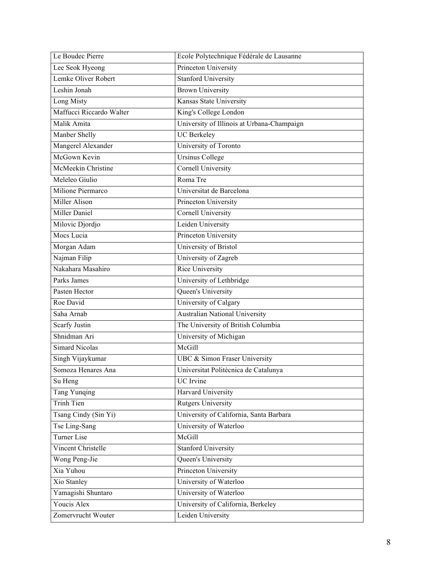| Le Boudec Pierre         | Ecole Polytechnique Fédérale de Lausanne   |
|--------------------------|--------------------------------------------|
| Lee Seok Hyeong          | Princeton University                       |
| Lemke Oliver Robert      | <b>Stanford University</b>                 |
| Leshin Jonah             | <b>Brown University</b>                    |
| Long Misty               | Kansas State University                    |
| Maffucci Riccardo Walter | King's College London                      |
| Malik Amita              | University of Illinois at Urbana-Champaign |
| Manber Shelly            | <b>UC</b> Berkeley                         |
| Mangerel Alexander       | University of Toronto                      |
| McGown Kevin             | <b>Ursinus College</b>                     |
| McMeekin Christine       | <b>Cornell University</b>                  |
| Meleleo Giulio           | Roma Tre                                   |
| Milione Piermarco        | Universitat de Barcelona                   |
| <b>Miller Alison</b>     | Princeton University                       |
| Miller Daniel            | <b>Cornell University</b>                  |
| Milovic Djordjo          | Leiden University                          |
| Mocs Lucia               | Princeton University                       |
| Morgan Adam              | University of Bristol                      |
| Najman Filip             | University of Zagreb                       |
| Nakahara Masahiro        | Rice University                            |
| Parks James              | University of Lethbridge                   |
| Pasten Hector            | Queen's University                         |
| Roe David                | University of Calgary                      |
| Saha Arnab               | <b>Australian National University</b>      |
| <b>Scarfy Justin</b>     | The University of British Columbia         |
| Shnidman Ari             | University of Michigan                     |
| <b>Simard Nicolas</b>    | McGill                                     |
| Singh Vijaykumar         | UBC & Simon Fraser University              |
| Somoza Henares Ana       | Universitat Politècnica de Catalunya       |
| Su Heng                  | UC Irvine                                  |
| <b>Tang Yunqing</b>      | Harvard University                         |
| Trinh Tien               | <b>Rutgers University</b>                  |
| Tsang Cindy (Sin Yi)     | University of California, Santa Barbara    |
| Tse Ling-Sang            | University of Waterloo                     |
| <b>Turner Lise</b>       | McGill                                     |
| Vincent Christelle       | <b>Stanford University</b>                 |
| Wong Peng-Jie            | Queen's University                         |
| Xia Yuhou                | Princeton University                       |
| Xio Stanley              | University of Waterloo                     |
| Yamagishi Shuntaro       | University of Waterloo                     |
| Youcis Alex              | University of California, Berkeley         |
| Zomervrucht Wouter       | Leiden University                          |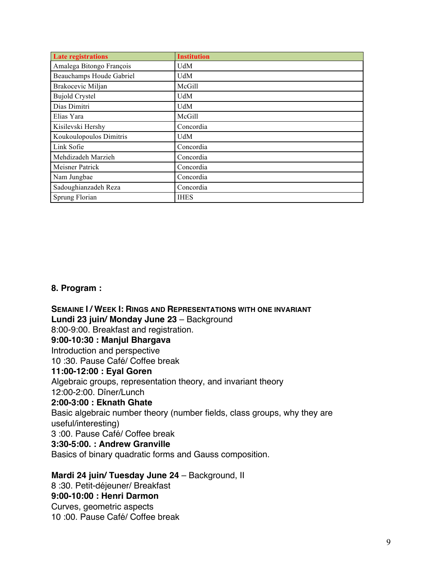| <b>Late registrations</b> | <b>Institution</b> |
|---------------------------|--------------------|
| Amalega Bitongo François  | <b>UdM</b>         |
| Beauchamps Houde Gabriel  | UdM                |
| Brakocevic Miljan         | McGill             |
| <b>Bujold Crystel</b>     | UdM                |
| Dias Dimitri              | UdM                |
| Elias Yara                | McGill             |
| Kisilevski Hershy         | Concordia          |
| Koukoulopoulos Dimitris   | UdM                |
| Link Sofie                | Concordia          |
| Mehdizadeh Marzieh        | Concordia          |
| Meisner Patrick           | Concordia          |
| Nam Jungbae               | Concordia          |
| Sadoughianzadeh Reza      | Concordia          |
| Sprung Florian            | <b>IHES</b>        |

#### **8. Program :**

**SEMAINE I / WEEK I: RINGS AND REPRESENTATIONS WITH ONE INVARIANT Lundi 23 juin/ Monday June 23** – Background 8:00-9:00. Breakfast and registration. **9:00-10:30 : Manjul Bhargava**  Introduction and perspective 10 :30. Pause Café/ Coffee break **11:00-12:00 : Eyal Goren**  Algebraic groups, representation theory, and invariant theory 12:00-2:00. Dîner/Lunch **2:00-3:00 : Eknath Ghate** Basic algebraic number theory (number fields, class groups, why they are useful/interesting) 3 :00. Pause Café/ Coffee break **3:30-5:00. : Andrew Granville** Basics of binary quadratic forms and Gauss composition. **Mardi 24 juin/ Tuesday June 24** – Background, II

8 :30. Petit-déjeuner/ Breakfast **9:00-10:00 : Henri Darmon** Curves, geometric aspects 10 :00. Pause Café/ Coffee break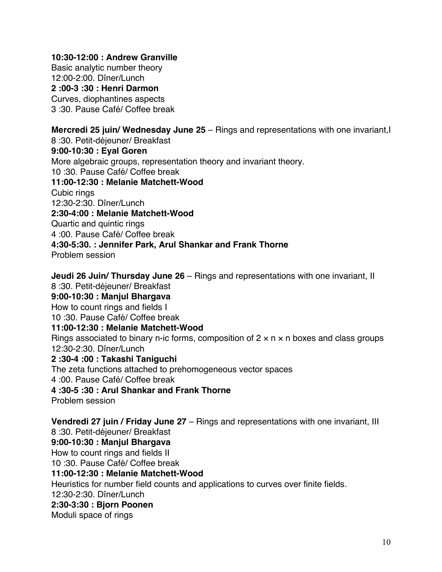#### **10:30-12:00 : Andrew Granville**

Basic analytic number theory 12:00-2:00. Dîner/Lunch **2 :00-3 :30 : Henri Darmon** Curves, diophantines aspects 3 :30. Pause Café/ Coffee break

**Mercredi 25 juin/ Wednesday June 25** – Rings and representations with one invariant,I 8 :30. Petit-déjeuner/ Breakfast **9:00-10:30 : Eyal Goren** More algebraic groups, representation theory and invariant theory. 10 :30. Pause Café/ Coffee break **11:00-12:30 : Melanie Matchett-Wood** Cubic rings 12:30-2:30. Dîner/Lunch **2:30-4:00 : Melanie Matchett-Wood** Quartic and quintic rings 4 :00. Pause Café/ Coffee break **4:30-5:30. : Jennifer Park, Arul Shankar and Frank Thorne** Problem session

**Jeudi 26 Juin/ Thursday June 26** – Rings and representations with one invariant, II 8 :30. Petit-déjeuner/ Breakfast **9:00-10:30 : Manjul Bhargava** How to count rings and fields I 10 :30. Pause Café/ Coffee break **11:00-12:30 : Melanie Matchett-Wood** Rings associated to binary n-ic forms, composition of  $2 \times n \times n$  boxes and class groups 12:30-2:30. Dîner/Lunch **2 :30-4 :00 : Takashi Taniguchi** The zeta functions attached to prehomogeneous vector spaces 4 :00. Pause Café/ Coffee break **4 :30-5 :30 : Arul Shankar and Frank Thorne** Problem session **Vendredi 27 juin / Friday June 27** – Rings and representations with one invariant, III 8 :30. Petit-déjeuner/ Breakfast **9:00-10:30 : Manjul Bhargava** How to count rings and fields II 10 :30. Pause Café/ Coffee break **11:00-12:30 : Melanie Matchett-Wood** Heuristics for number field counts and applications to curves over finite fields. 12:30-2:30. Dîner/Lunch **2:30-3:30 : Bjorn Poonen** Moduli space of rings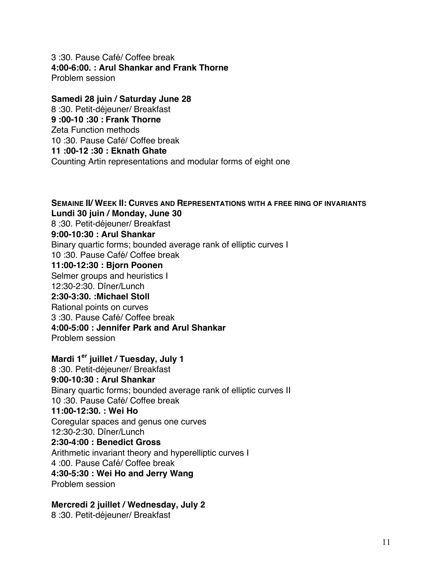3 :30. Pause Café/ Coffee break **4:00-6:00. : Arul Shankar and Frank Thorne** Problem session

**Samedi 28 juin / Saturday June 28** 8 :30. Petit-déjeuner/ Breakfast **9 :00-10 :30 : Frank Thorne**  Zeta Function methods 10 :30. Pause Café/ Coffee break **11 :00-12 :30 : Eknath Ghate** Counting Artin representations and modular forms of eight one

**SEMAINE II/ WEEK II: CURVES AND REPRESENTATIONS WITH A FREE RING OF INVARIANTS Lundi 30 juin / Monday, June 30** 8 :30. Petit-déjeuner/ Breakfast **9:00-10:30 : Arul Shankar** Binary quartic forms; bounded average rank of elliptic curves I 10 :30. Pause Café/ Coffee break **11:00-12:30 : Bjorn Poonen** Selmer groups and heuristics I 12:30-2:30. Dîner/Lunch **2:30-3:30. :Michael Stoll** Rational points on curves 3 :30. Pause Café/ Coffee break **4:00-5:00 : Jennifer Park and Arul Shankar** Problem session **Mardi 1er juillet / Tuesday, July 1**

8 :30. Petit-déjeuner/ Breakfast **9:00-10:30 : Arul Shankar** Binary quartic forms; bounded average rank of elliptic curves II 10 :30. Pause Café/ Coffee break **11:00-12:30. : Wei Ho** Coregular spaces and genus one curves 12:30-2:30. Dîner/Lunch **2:30-4:00 : Benedict Gross** Arithmetic invariant theory and hyperelliptic curves I 4 :00. Pause Café/ Coffee break **4:30-5:30 : Wei Ho and Jerry Wang** Problem session

**Mercredi 2 juillet / Wednesday, July 2**

8 :30. Petit-déjeuner/ Breakfast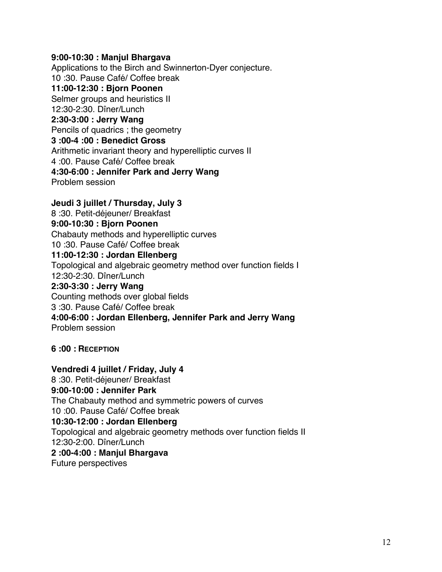#### **9:00-10:30 : Manjul Bhargava**

Applications to the Birch and Swinnerton-Dyer conjecture. 10 :30. Pause Café/ Coffee break **11:00-12:30 : Bjorn Poonen** Selmer groups and heuristics II 12:30-2:30. Dîner/Lunch **2:30-3:00 : Jerry Wang** Pencils of quadrics ; the geometry **3 :00-4 :00 : Benedict Gross** Arithmetic invariant theory and hyperelliptic curves II 4 :00. Pause Café/ Coffee break **4:30-6:00 : Jennifer Park and Jerry Wang** Problem session

**Jeudi 3 juillet / Thursday, July 3** 8 :30. Petit-déjeuner/ Breakfast **9:00-10:30 : Bjorn Poonen** Chabauty methods and hyperelliptic curves 10 :30. Pause Café/ Coffee break **11:00-12:30 : Jordan Ellenberg** Topological and algebraic geometry method over function fields I 12:30-2:30. Dîner/Lunch **2:30-3:30 : Jerry Wang** Counting methods over global fields 3 :30. Pause Café/ Coffee break **4:00-6:00 : Jordan Ellenberg, Jennifer Park and Jerry Wang** Problem session

**6 :00 : RECEPTION** 

**Vendredi 4 juillet / Friday, July 4** 8 :30. Petit-déjeuner/ Breakfast **9:00-10:00 : Jennifer Park** The Chabauty method and symmetric powers of curves 10 :00. Pause Café/ Coffee break **10:30-12:00 : Jordan Ellenberg** Topological and algebraic geometry methods over function fields II 12:30-2:00. Dîner/Lunch **2 :00-4:00 : Manjul Bhargava** Future perspectives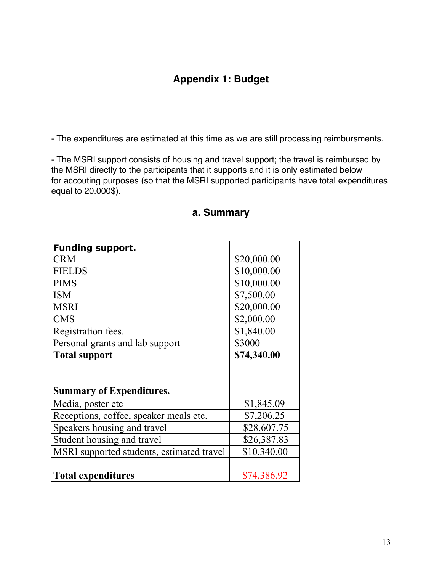## **Appendix 1: Budget**

- The expenditures are estimated at this time as we are still processing reimbursments.

- The MSRI support consists of housing and travel support; the travel is reimbursed by the MSRI directly to the participants that it supports and it is only estimated below for accouting purposes (so that the MSRI supported participants have total expenditures equal to 20.000\$).

| Funding support.                          |             |  |
|-------------------------------------------|-------------|--|
| <b>CRM</b>                                | \$20,000.00 |  |
| <b>FIELDS</b>                             | \$10,000.00 |  |
| <b>PIMS</b>                               | \$10,000.00 |  |
| <b>ISM</b>                                | \$7,500.00  |  |
| <b>MSRI</b>                               | \$20,000.00 |  |
| <b>CMS</b>                                | \$2,000.00  |  |
| Registration fees.                        | \$1,840.00  |  |
| Personal grants and lab support           | \$3000      |  |
| <b>Total support</b>                      | \$74,340.00 |  |
|                                           |             |  |
|                                           |             |  |
| <b>Summary of Expenditures.</b>           |             |  |
| Media, poster etc                         | \$1,845.09  |  |
| Receptions, coffee, speaker meals etc.    | \$7,206.25  |  |
| Speakers housing and travel               | \$28,607.75 |  |
| Student housing and travel                | \$26,387.83 |  |
| MSRI supported students, estimated travel | \$10,340.00 |  |
|                                           |             |  |
| <b>Total expenditures</b>                 | \$74,386.92 |  |

#### **a. Summary**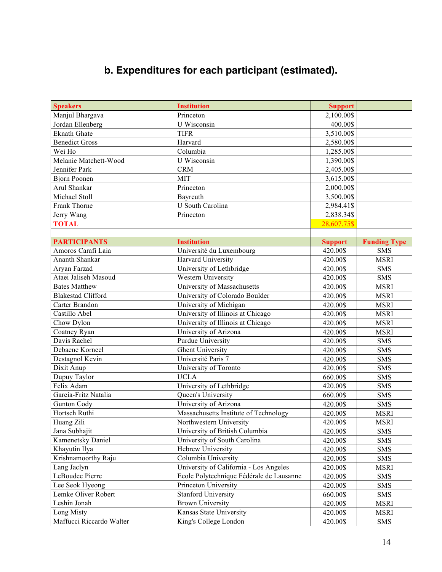# **b. Expenditures for each participant (estimated).**

| <b>Speakers</b>           | <b>Institution</b>                       | <b>Support</b> |                     |
|---------------------------|------------------------------------------|----------------|---------------------|
| Manjul Bhargava           | Princeton                                | 2,100.00\$     |                     |
| Jordan Ellenberg          | $\overline{U}$ Wisconsin                 | 400.00\$       |                     |
| <b>Eknath Ghate</b>       | <b>TIFR</b>                              | 3,510.00\$     |                     |
| <b>Benedict Gross</b>     | Harvard                                  | 2,580.00\$     |                     |
| Wei Ho                    | Columbia                                 | 1,285.00\$     |                     |
| Melanie Matchett-Wood     | U Wisconsin                              | 1,390.00\$     |                     |
| Jennifer Park             | <b>CRM</b>                               | 2,405.00\$     |                     |
| <b>Bjorn Poonen</b>       | <b>MIT</b>                               | 3,615.00\$     |                     |
| Arul Shankar              | Princeton                                | 2,000.00\$     |                     |
| Michael Stoll             | Bayreuth                                 | 3,500.00\$     |                     |
| Frank Thorne              | U South Carolina                         | 2,984.41\$     |                     |
| Jerry Wang                | Princeton                                | 2,838.34\$     |                     |
| <b>TOTAL</b>              |                                          | 28,607.75\$    |                     |
|                           |                                          |                |                     |
| <b>PARTICIPANTS</b>       | <b>Institution</b>                       | <b>Support</b> | <b>Funding Type</b> |
| Amoros Carafi Laia        | Université du Luxembourg                 | 420.00\$       | <b>SMS</b>          |
| Ananth Shankar            | Harvard University                       | 420.00\$       | <b>MSRI</b>         |
| Aryan Farzad              | University of Lethbridge                 | 420.00\$       | <b>SMS</b>          |
| Ataei Jaliseh Masoud      | Western University                       | 420.00\$       | <b>SMS</b>          |
| <b>Bates Matthew</b>      | University of Massachusetts              | 420.00\$       | <b>MSRI</b>         |
| <b>Blakestad Clifford</b> | University of Colorado Boulder           | 420.00\$       | <b>MSRI</b>         |
| Carter Brandon            | University of Michigan                   | 420.00\$       | <b>MSRI</b>         |
| Castillo Abel             | University of Illinois at Chicago        | 420.00\$       | <b>MSRI</b>         |
| Chow Dylon                | University of Illinois at Chicago        | 420.00\$       | <b>MSRI</b>         |
| Coatney Ryan              | University of Arizona                    | 420.00\$       | <b>MSRI</b>         |
| Davis Rachel              | <b>Purdue University</b>                 | 420.00\$       | <b>SMS</b>          |
| Debaene Korneel           | <b>Ghent University</b>                  | 420.00\$       | <b>SMS</b>          |
| Destagnol Kevin           | Université Paris 7                       | 420.00\$       | <b>SMS</b>          |
| Dixit Anup                | University of Toronto                    | 420.00\$       | <b>SMS</b>          |
| Dupuy Taylor              | <b>UCLA</b>                              | 660.00\$       | <b>SMS</b>          |
| Felix Adam                | University of Lethbridge                 | 420.00\$       | <b>SMS</b>          |
| Garcia-Fritz Natalia      | Queen's University                       | 660.00\$       | <b>SMS</b>          |
| <b>Gunton Cody</b>        | University of Arizona                    | 420.00\$       | <b>SMS</b>          |
| Hortsch Ruthi             | Massachusetts Institute of Technology    | 420.00\$       | <b>MSRI</b>         |
| Huang Zili                | Northwestern University                  | 420.00\$       | <b>MSRI</b>         |
| Jana Subhajit             | University of British Columbia           | 420.00\$       | <b>SMS</b>          |
| Kamenetsky Daniel         | University of South Carolina             | 420.00\$       | <b>SMS</b>          |
| Khayutin Ilya             | Hebrew University                        | 420.00\$       | <b>SMS</b>          |
| Krishnamoorthy Raju       | Columbia University                      | 420.00\$       | SMS                 |
| Lang Jaclyn               | University of California - Los Angeles   | 420.00\$       | <b>MSRI</b>         |
| LeBoudec Pierre           | Ecole Polytechnique Fédérale de Lausanne | 420.00\$       | <b>SMS</b>          |
| Lee Seok Hyeong           | Princeton University                     | 420.00\$       | <b>SMS</b>          |
| Lemke Oliver Robert       | <b>Stanford University</b>               | 660.00\$       | <b>SMS</b>          |
| Leshin Jonah              | <b>Brown University</b>                  | 420.00\$       | <b>MSRI</b>         |
| Long Misty                | Kansas State University                  | 420.00\$       | <b>MSRI</b>         |
| Maffucci Riccardo Walter  | King's College London                    | 420.00\$       | <b>SMS</b>          |